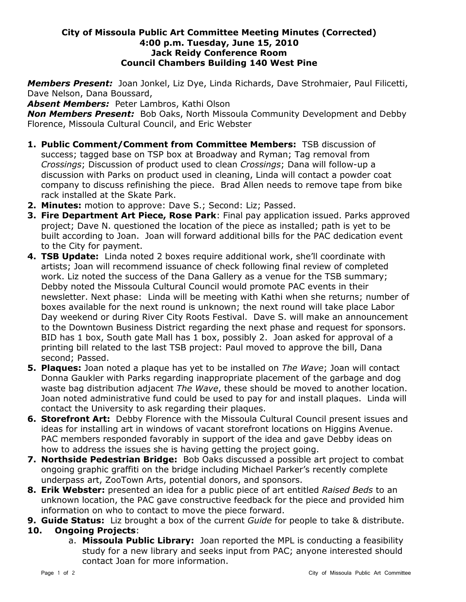## **City of Missoula Public Art Committee Meeting Minutes (Corrected) 4:00 p.m. Tuesday, June 15, 2010 Jack Reidy Conference Room Council Chambers Building 140 West Pine**

*Members Present:* Joan Jonkel, Liz Dye, Linda Richards, Dave Strohmaier, Paul Filicetti, Dave Nelson, Dana Boussard,

*Absent Members:* Peter Lambros, Kathi Olson

*Non Members Present:* Bob Oaks, North Missoula Community Development and Debby Florence, Missoula Cultural Council, and Eric Webster

- **1. Public Comment/Comment from Committee Members:** TSB discussion of success; tagged base on TSP box at Broadway and Ryman; Tag removal from *Crossings*; Discussion of product used to clean *Crossings*; Dana will follow-up a discussion with Parks on product used in cleaning, Linda will contact a powder coat company to discuss refinishing the piece. Brad Allen needs to remove tape from bike rack installed at the Skate Park.
- **2. Minutes:** motion to approve: Dave S.; Second: Liz; Passed.
- **3. Fire Department Art Piece, Rose Park**: Final pay application issued. Parks approved project; Dave N. questioned the location of the piece as installed; path is yet to be built according to Joan. Joan will forward additional bills for the PAC dedication event to the City for payment.
- **4. TSB Update:** Linda noted 2 boxes require additional work, she'll coordinate with artists; Joan will recommend issuance of check following final review of completed work. Liz noted the success of the Dana Gallery as a venue for the TSB summary; Debby noted the Missoula Cultural Council would promote PAC events in their newsletter. Next phase: Linda will be meeting with Kathi when she returns; number of boxes available for the next round is unknown; the next round will take place Labor Day weekend or during River City Roots Festival. Dave S. will make an announcement to the Downtown Business District regarding the next phase and request for sponsors. BID has 1 box, South gate Mall has 1 box, possibly 2. Joan asked for approval of a printing bill related to the last TSB project: Paul moved to approve the bill, Dana second; Passed.
- **5. Plaques:** Joan noted a plaque has yet to be installed on *The Wave*; Joan will contact Donna Gaukler with Parks regarding inappropriate placement of the garbage and dog waste bag distribution adjacent *The Wave*, these should be moved to another location. Joan noted administrative fund could be used to pay for and install plaques. Linda will contact the University to ask regarding their plaques.
- **6. Storefront Art:** Debby Florence with the Missoula Cultural Council present issues and ideas for installing art in windows of vacant storefront locations on Higgins Avenue. PAC members responded favorably in support of the idea and gave Debby ideas on how to address the issues she is having getting the project going.
- **7. Northside Pedestrian Bridge:** Bob Oaks discussed a possible art project to combat ongoing graphic graffiti on the bridge including Michael Parker's recently complete underpass art, ZooTown Arts, potential donors, and sponsors.
- **8. Erik Webster:** presented an idea for a public piece of art entitled *Raised Beds* to an unknown location, the PAC gave constructive feedback for the piece and provided him information on who to contact to move the piece forward.
- **9. Guide Status:** Liz brought a box of the current *Guide* for people to take & distribute.

## **10. Ongoing Projects**:

a. **Missoula Public Library:** Joan reported the MPL is conducting a feasibility study for a new library and seeks input from PAC; anyone interested should contact Joan for more information.